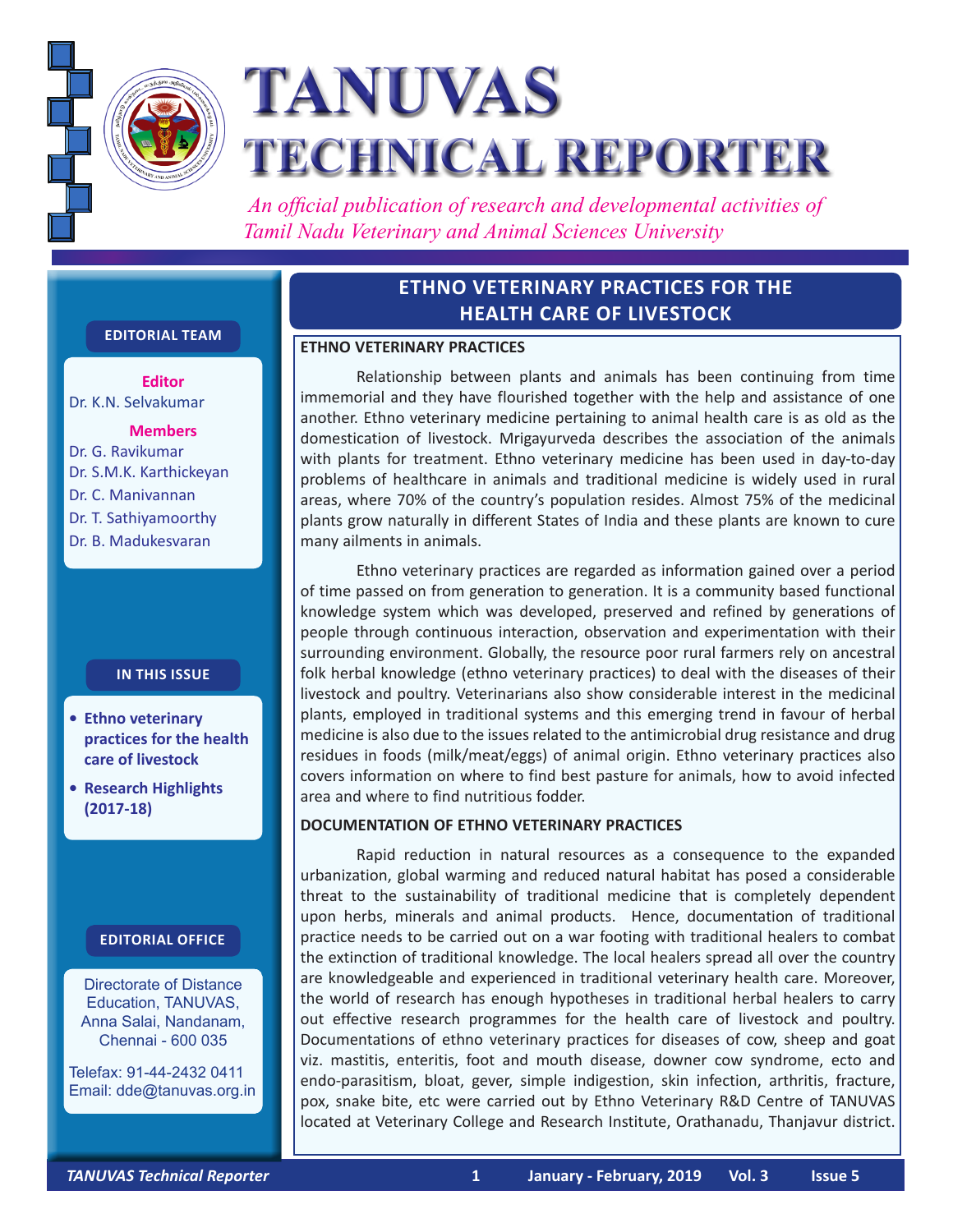

# **TANUVAS TECHNICAL REPORTER**

 *An official publication of research and developmental activities of Tamil Nadu Veterinary and Animal Sciences University*

## **ETHNO VETERINARY PRACTICES FOR THE HEALTH CARE OF LIVESTOCK**

#### **ETHNO VETERINARY PRACTICES**

Relationship between plants and animals has been continuing from time immemorial and they have flourished together with the help and assistance of one another. Ethno veterinary medicine pertaining to animal health care is as old as the domestication of livestock. Mrigayurveda describes the association of the animals with plants for treatment. Ethno veterinary medicine has been used in day-to-day problems of healthcare in animals and traditional medicine is widely used in rural areas, where 70% of the country's population resides. Almost 75% of the medicinal plants grow naturally in different States of India and these plants are known to cure many ailments in animals.

Ethno veterinary practices are regarded as information gained over a period of time passed on from generation to generation. It is a community based functional knowledge system which was developed, preserved and refined by generations of people through continuous interaction, observation and experimentation with their surrounding environment. Globally, the resource poor rural farmers rely on ancestral folk herbal knowledge (ethno veterinary practices) to deal with the diseases of their livestock and poultry. Veterinarians also show considerable interest in the medicinal plants, employed in traditional systems and this emerging trend in favour of herbal medicine is also due to the issues related to the antimicrobial drug resistance and drug residues in foods (milk/meat/eggs) of animal origin. Ethno veterinary practices also covers information on where to find best pasture for animals, how to avoid infected area and where to find nutritious fodder.

#### **DOCUMENTATION OF ETHNO VETERINARY PRACTICES**

 Rapid reduction in natural resources as a consequence to the expanded urbanization, global warming and reduced natural habitat has posed a considerable threat to the sustainability of traditional medicine that is completely dependent upon herbs, minerals and animal products. Hence, documentation of traditional practice needs to be carried out on a war footing with traditional healers to combat the extinction of traditional knowledge. The local healers spread all over the country are knowledgeable and experienced in traditional veterinary health care. Moreover, the world of research has enough hypotheses in traditional herbal healers to carry out effective research programmes for the health care of livestock and poultry. Documentations of ethno veterinary practices for diseases of cow, sheep and goat viz. mastitis, enteritis, foot and mouth disease, downer cow syndrome, ecto and endo-parasitism, bloat, gever, simple indigestion, skin infection, arthritis, fracture, pox, snake bite, etc were carried out by Ethno Veterinary R&D Centre of TANUVAS located at Veterinary College and Research Institute, Orathanadu, Thanjavur district.

### **Editorial Team**

**Editor** Dr. K.N. Selvakumar

**Members** Dr. G. Ravikumar Dr. S.M.K. Karthickeyan Dr. C. Manivannan Dr. T. Sathiyamoorthy Dr. B. Madukesvaran

#### **In this issue**

- **• Ethno veterinary practices for the health care of livestock**
- **• Research Highlights (2017-18)**

#### **Editorial Office**

Directorate of Distance Education, TANUVAS, Anna Salai, Nandanam, Chennai - 600 035

Telefax: 91-44-2432 0411 Email: dde@tanuvas.org.in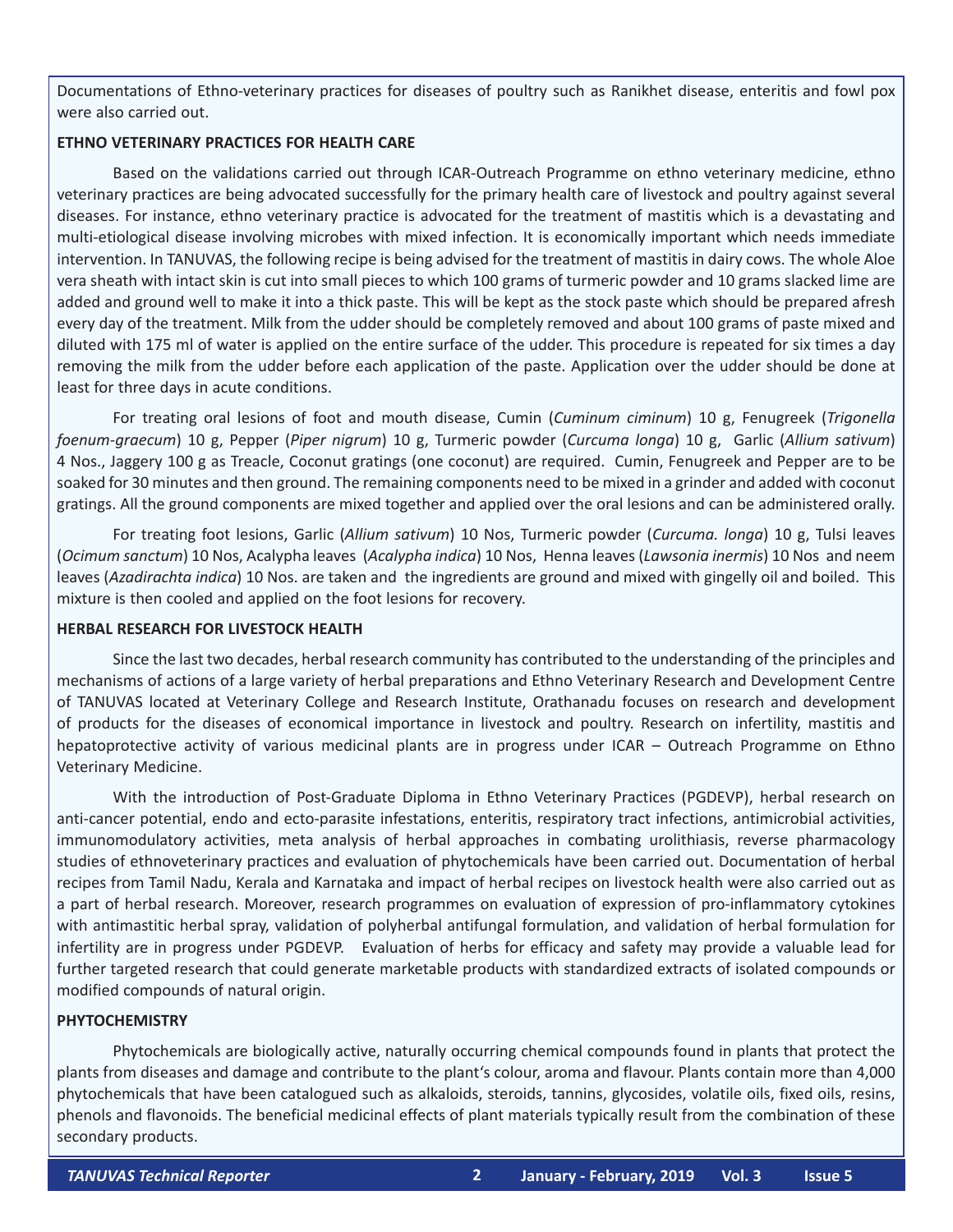Documentations of Ethno-veterinary practices for diseases of poultry such as Ranikhet disease, enteritis and fowl pox were also carried out.

#### **ETHNO VETERINARY PRACTICES FOR HEALTH CARE**

Based on the validations carried out through ICAR-Outreach Programme on ethno veterinary medicine, ethno veterinary practices are being advocated successfully for the primary health care of livestock and poultry against several diseases. For instance, ethno veterinary practice is advocated for the treatment of mastitis which is a devastating and multi-etiological disease involving microbes with mixed infection. It is economically important which needs immediate intervention. In TANUVAS, the following recipe is being advised for the treatment of mastitis in dairy cows. The whole Aloe vera sheath with intact skin is cut into small pieces to which 100 grams of turmeric powder and 10 grams slacked lime are added and ground well to make it into a thick paste. This will be kept as the stock paste which should be prepared afresh every day of the treatment. Milk from the udder should be completely removed and about 100 grams of paste mixed and diluted with 175 ml of water is applied on the entire surface of the udder. This procedure is repeated for six times a day removing the milk from the udder before each application of the paste. Application over the udder should be done at least for three days in acute conditions.

For treating oral lesions of foot and mouth disease, Cumin (*Cuminum ciminum*) 10 g, Fenugreek (*Trigonella foenum-graecum*) 10 g, Pepper (*Piper nigrum*) 10 g, Turmeric powder (*Curcuma longa*) 10 g, Garlic (*Allium sativum*) 4 Nos., Jaggery 100 g as Treacle, Coconut gratings (one coconut) are required. Cumin, Fenugreek and Pepper are to be soaked for 30 minutes and then ground. The remaining components need to be mixed in a grinder and added with coconut gratings. All the ground components are mixed together and applied over the oral lesions and can be administered orally.

For treating foot lesions, Garlic (*Allium sativum*) 10 Nos, Turmeric powder (*Curcuma. longa*) 10 g, Tulsi leaves (*Ocimum sanctum*) 10 Nos, Acalypha leaves (*Acalypha indica*) 10 Nos, Henna leaves (*Lawsonia inermis*) 10 Nos and neem leaves (*Azadirachta indica*) 10 Nos. are taken and the ingredients are ground and mixed with gingelly oil and boiled. This mixture is then cooled and applied on the foot lesions for recovery.

#### **HERBAL RESEARCH FOR LIVESTOCK HEALTH**

Since the last two decades, herbal research community has contributed to the understanding of the principles and mechanisms of actions of a large variety of herbal preparations and Ethno Veterinary Research and Development Centre of TANUVAS located at Veterinary College and Research Institute, Orathanadu focuses on research and development of products for the diseases of economical importance in livestock and poultry. Research on infertility, mastitis and hepatoprotective activity of various medicinal plants are in progress under ICAR – Outreach Programme on Ethno Veterinary Medicine.

With the introduction of Post-Graduate Diploma in Ethno Veterinary Practices (PGDEVP), herbal research on anti-cancer potential, endo and ecto-parasite infestations, enteritis, respiratory tract infections, antimicrobial activities, immunomodulatory activities, meta analysis of herbal approaches in combating urolithiasis, reverse pharmacology studies of ethnoveterinary practices and evaluation of phytochemicals have been carried out. Documentation of herbal recipes from Tamil Nadu, Kerala and Karnataka and impact of herbal recipes on livestock health were also carried out as a part of herbal research. Moreover, research programmes on evaluation of expression of pro-inflammatory cytokines with antimastitic herbal spray, validation of polyherbal antifungal formulation, and validation of herbal formulation for infertility are in progress under PGDEVP. Evaluation of herbs for efficacy and safety may provide a valuable lead for further targeted research that could generate marketable products with standardized extracts of isolated compounds or modified compounds of natural origin.

#### **PHYTOCHEMISTRY**

Phytochemicals are biologically active, naturally occurring chemical compounds found in plants that protect the plants from diseases and damage and contribute to the plant's colour, aroma and flavour. Plants contain more than 4,000 phytochemicals that have been catalogued such as alkaloids, steroids, tannins, glycosides, volatile oils, fixed oils, resins, phenols and flavonoids. The beneficial medicinal effects of plant materials typically result from the combination of these secondary products.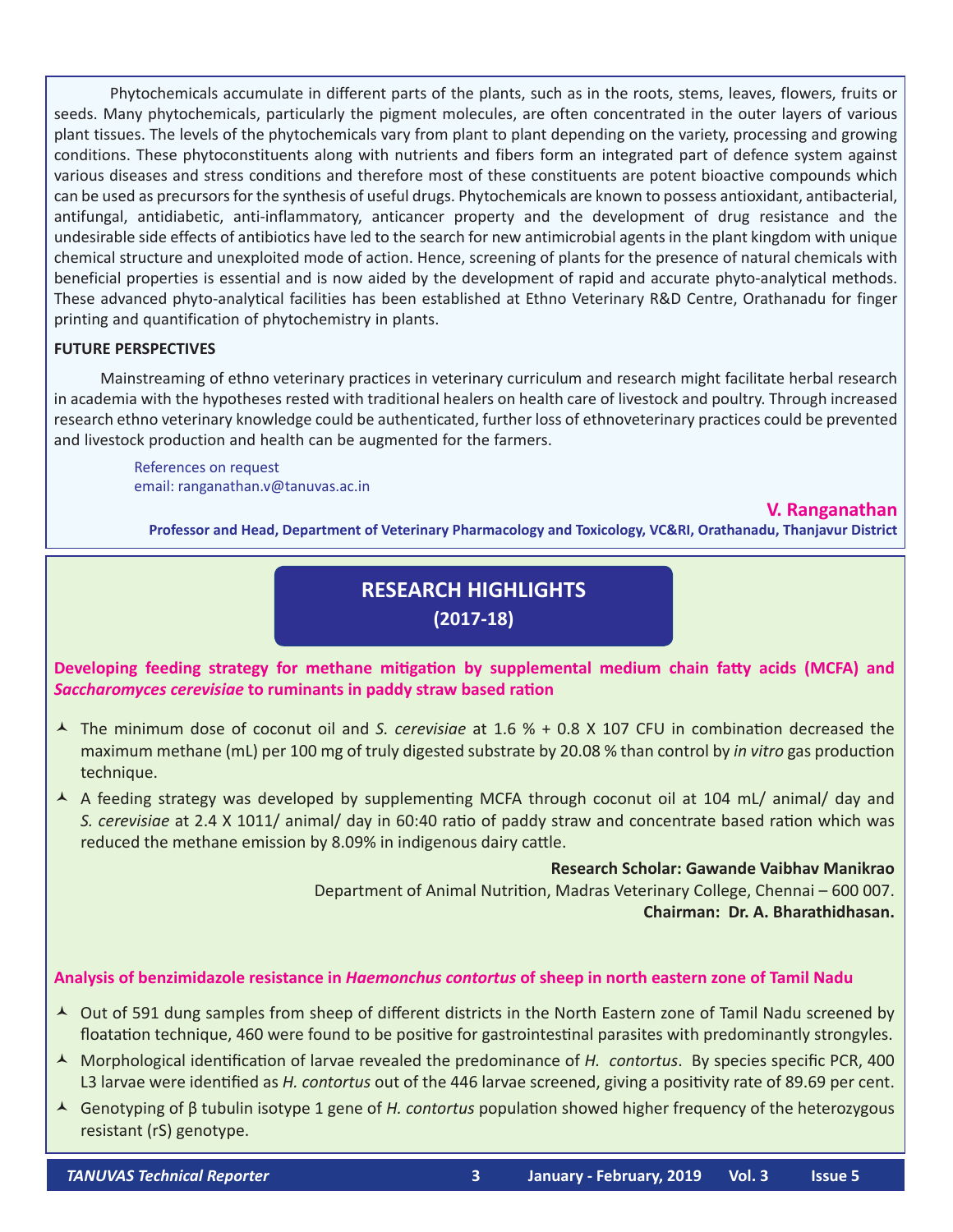Phytochemicals accumulate in different parts of the plants, such as in the roots, stems, leaves, flowers, fruits or seeds. Many phytochemicals, particularly the pigment molecules, are often concentrated in the outer layers of various plant tissues. The levels of the phytochemicals vary from plant to plant depending on the variety, processing and growing conditions. These phytoconstituents along with nutrients and fibers form an integrated part of defence system against various diseases and stress conditions and therefore most of these constituents are potent bioactive compounds which can be used as precursors for the synthesis of useful drugs. Phytochemicals are known to possess antioxidant, antibacterial, antifungal, antidiabetic, anti-inflammatory, anticancer property and the development of drug resistance and the undesirable side effects of antibiotics have led to the search for new antimicrobial agents in the plant kingdom with unique chemical structure and unexploited mode of action. Hence, screening of plants for the presence of natural chemicals with beneficial properties is essential and is now aided by the development of rapid and accurate phyto-analytical methods. These advanced phyto-analytical facilities has been established at Ethno Veterinary R&D Centre, Orathanadu for finger printing and quantification of phytochemistry in plants.

#### **FUTURE PERSPECTIVES**

 Mainstreaming of ethno veterinary practices in veterinary curriculum and research might facilitate herbal research in academia with the hypotheses rested with traditional healers on health care of livestock and poultry. Through increased research ethno veterinary knowledge could be authenticated, further loss of ethnoveterinary practices could be prevented and livestock production and health can be augmented for the farmers.

References on request email: ranganathan.v@tanuvas.ac.in

#### **V. Ranganathan**

**Professor and Head, Department of Veterinary Pharmacology and Toxicology, VC&RI, Orathanadu, Thanjavur District**

# **RESEARCH HIGHLIGHTS (2017-18)**

**Developing feeding strategy for methane mitigation by supplemental medium chain fatty acids (MCFA) and** *Saccharomyces cerevisiae* **to ruminants in paddy straw based ration**

- The minimum dose of coconut oil and *S. cerevisiae* at 1.6 % + 0.8 X 107 CFU in combination decreased the maximum methane (mL) per 100 mg of truly digested substrate by 20.08 % than control by *in vitro* gas production technique.
- A A feeding strategy was developed by supplementing MCFA through coconut oil at 104 mL/ animal/ day and *S. cerevisiae* at 2.4 X 1011/ animal/ day in 60:40 ratio of paddy straw and concentrate based ration which was reduced the methane emission by 8.09% in indigenous dairy cattle.

**Research Scholar: Gawande Vaibhav Manikrao** Department of Animal Nutrition, Madras Veterinary College, Chennai – 600 007. **Chairman: Dr. A. Bharathidhasan.**

#### **Analysis of benzimidazole resistance in** *Haemonchus contortus* **of sheep in north eastern zone of Tamil Nadu**

- ▲ Out of 591 dung samples from sheep of different districts in the North Eastern zone of Tamil Nadu screened by floatation technique, 460 were found to be positive for gastrointestinal parasites with predominantly strongyles.
- Morphological identification of larvae revealed the predominance of *H. contortus*. By species specific PCR, 400 L3 larvae were identified as *H. contortus* out of the 446 larvae screened, giving a positivity rate of 89.69 per cent.
- Genotyping of β tubulin isotype 1 gene of *H. contortus* population showed higher frequency of the heterozygous resistant (rS) genotype.